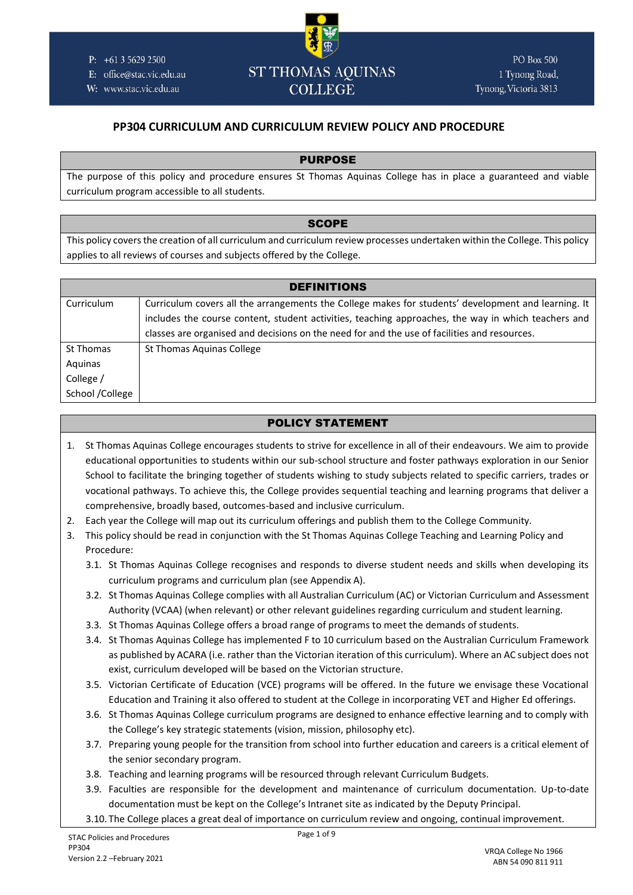

E: office@stac.vic.edu.au

W: www.stac.vic.edu.au

# **ST THOMAS AQUINAS COLLEGE**

# **PP304 CURRICULUM AND CURRICULUM REVIEW POLICY AND PROCEDURE**

## PURPOSE

The purpose of this policy and procedure ensures St Thomas Aquinas College has in place a guaranteed and viable curriculum program accessible to all students.

## **SCOPE**

This policy covers the creation of all curriculum and curriculum review processes undertaken within the College. This policy applies to all reviews of courses and subjects offered by the College.

| <b>DEFINITIONS</b> |                                                                                                     |  |  |
|--------------------|-----------------------------------------------------------------------------------------------------|--|--|
| Curriculum         | Curriculum covers all the arrangements the College makes for students' development and learning. It |  |  |
|                    | includes the course content, student activities, teaching approaches, the way in which teachers and |  |  |
|                    | classes are organised and decisions on the need for and the use of facilities and resources.        |  |  |
| St Thomas          | St Thomas Aguinas College                                                                           |  |  |
| Aquinas            |                                                                                                     |  |  |
| College /          |                                                                                                     |  |  |
| School /College    |                                                                                                     |  |  |

# POLICY STATEMENT

- 1. St Thomas Aquinas College encourages students to strive for excellence in all of their endeavours. We aim to provide educational opportunities to students within our sub-school structure and foster pathways exploration in our Senior School to facilitate the bringing together of students wishing to study subjects related to specific carriers, trades or vocational pathways. To achieve this, the College provides sequential teaching and learning programs that deliver a comprehensive, broadly based, outcomes-based and inclusive curriculum.
- 2. Each year the College will map out its curriculum offerings and publish them to the College Community.
- 3. This policy should be read in conjunction with the St Thomas Aquinas College Teaching and Learning Policy and Procedure:
	- 3.1. St Thomas Aquinas College recognises and responds to diverse student needs and skills when developing its curriculum programs and curriculum plan (see Appendix A).
	- 3.2. St Thomas Aquinas College complies with all Australian Curriculum (AC) or Victorian Curriculum and Assessment Authority (VCAA) (when relevant) or other relevant guidelines regarding curriculum and student learning.
	- 3.3. St Thomas Aquinas College offers a broad range of programs to meet the demands of students.
	- 3.4. St Thomas Aquinas College has implemented F to 10 curriculum based on the Australian Curriculum Framework as published by ACARA (i.e. rather than the Victorian iteration of this curriculum). Where an AC subject does not exist, curriculum developed will be based on the Victorian structure.
	- 3.5. Victorian Certificate of Education (VCE) programs will be offered. In the future we envisage these Vocational Education and Training it also offered to student at the College in incorporating VET and Higher Ed offerings.
	- 3.6. St Thomas Aquinas College curriculum programs are designed to enhance effective learning and to comply with the College's key strategic statements (vision, mission, philosophy etc).
	- 3.7. Preparing young people for the transition from school into further education and careers is a critical element of the senior secondary program.
	- 3.8. Teaching and learning programs will be resourced through relevant Curriculum Budgets.
	- 3.9. Faculties are responsible for the development and maintenance of curriculum documentation. Up-to-date documentation must be kept on the College's Intranet site as indicated by the Deputy Principal.

3.10. The College places a great deal of importance on curriculum review and ongoing, continual improvement.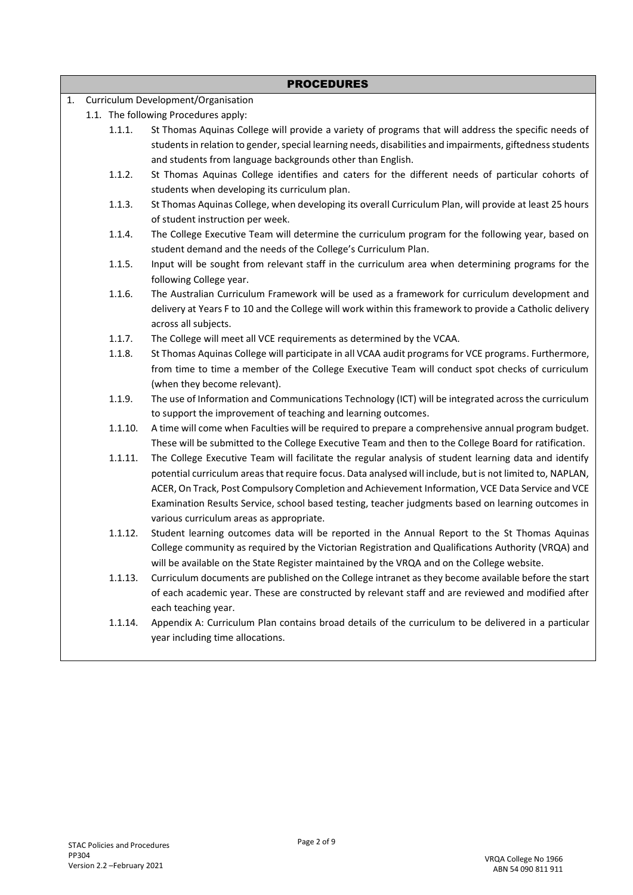|    | <b>PROCEDURES</b>                   |                                                                                                                                                                     |  |  |  |
|----|-------------------------------------|---------------------------------------------------------------------------------------------------------------------------------------------------------------------|--|--|--|
| 1. | Curriculum Development/Organisation |                                                                                                                                                                     |  |  |  |
|    |                                     | 1.1. The following Procedures apply:                                                                                                                                |  |  |  |
|    | 1.1.1.                              | St Thomas Aquinas College will provide a variety of programs that will address the specific needs of                                                                |  |  |  |
|    |                                     | students in relation to gender, special learning needs, disabilities and impairments, giftedness students                                                           |  |  |  |
|    |                                     | and students from language backgrounds other than English.                                                                                                          |  |  |  |
|    | 1.1.2.                              | St Thomas Aquinas College identifies and caters for the different needs of particular cohorts of                                                                    |  |  |  |
|    |                                     | students when developing its curriculum plan.                                                                                                                       |  |  |  |
|    | 1.1.3.                              | St Thomas Aquinas College, when developing its overall Curriculum Plan, will provide at least 25 hours                                                              |  |  |  |
|    |                                     | of student instruction per week.                                                                                                                                    |  |  |  |
|    | 1.1.4.                              | The College Executive Team will determine the curriculum program for the following year, based on<br>student demand and the needs of the College's Curriculum Plan. |  |  |  |
|    | 1.1.5.                              | Input will be sought from relevant staff in the curriculum area when determining programs for the                                                                   |  |  |  |
|    |                                     | following College year.                                                                                                                                             |  |  |  |
|    | 1.1.6.                              | The Australian Curriculum Framework will be used as a framework for curriculum development and                                                                      |  |  |  |
|    |                                     | delivery at Years F to 10 and the College will work within this framework to provide a Catholic delivery                                                            |  |  |  |
|    |                                     | across all subjects.                                                                                                                                                |  |  |  |
|    | 1.1.7.                              | The College will meet all VCE requirements as determined by the VCAA.                                                                                               |  |  |  |
|    | 1.1.8.                              | St Thomas Aquinas College will participate in all VCAA audit programs for VCE programs. Furthermore,                                                                |  |  |  |
|    |                                     | from time to time a member of the College Executive Team will conduct spot checks of curriculum<br>(when they become relevant).                                     |  |  |  |
|    | 1.1.9.                              | The use of Information and Communications Technology (ICT) will be integrated across the curriculum                                                                 |  |  |  |
|    |                                     | to support the improvement of teaching and learning outcomes.                                                                                                       |  |  |  |
|    | 1.1.10.                             | A time will come when Faculties will be required to prepare a comprehensive annual program budget.                                                                  |  |  |  |
|    |                                     | These will be submitted to the College Executive Team and then to the College Board for ratification.                                                               |  |  |  |
|    | 1.1.11.                             | The College Executive Team will facilitate the regular analysis of student learning data and identify                                                               |  |  |  |
|    |                                     | potential curriculum areas that require focus. Data analysed will include, but is not limited to, NAPLAN,                                                           |  |  |  |
|    |                                     | ACER, On Track, Post Compulsory Completion and Achievement Information, VCE Data Service and VCE                                                                    |  |  |  |
|    |                                     | Examination Results Service, school based testing, teacher judgments based on learning outcomes in                                                                  |  |  |  |
|    |                                     | various curriculum areas as appropriate.                                                                                                                            |  |  |  |
|    | 1.1.12.                             | Student learning outcomes data will be reported in the Annual Report to the St Thomas Aquinas                                                                       |  |  |  |
|    |                                     | College community as required by the Victorian Registration and Qualifications Authority (VRQA) and                                                                 |  |  |  |
|    |                                     | will be available on the State Register maintained by the VRQA and on the College website.                                                                          |  |  |  |
|    | 1.1.13.                             | Curriculum documents are published on the College intranet as they become available before the start                                                                |  |  |  |
|    |                                     | of each academic year. These are constructed by relevant staff and are reviewed and modified after<br>each teaching year.                                           |  |  |  |
|    | 1.1.14.                             | Appendix A: Curriculum Plan contains broad details of the curriculum to be delivered in a particular                                                                |  |  |  |
|    |                                     | year including time allocations.                                                                                                                                    |  |  |  |
|    |                                     |                                                                                                                                                                     |  |  |  |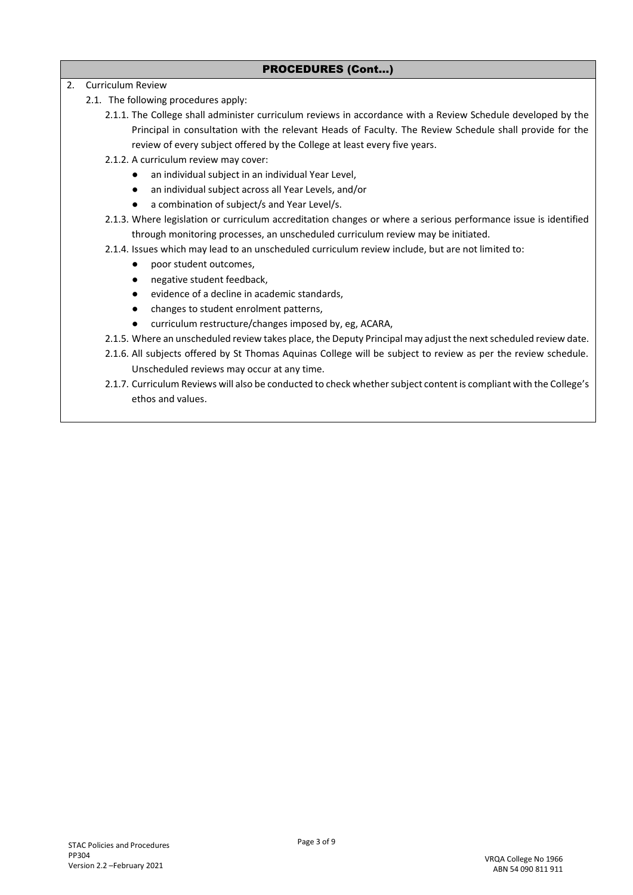## PROCEDURES (Cont…)

2. Curriculum Review

- 2.1. The following procedures apply:
	- 2.1.1. The College shall administer curriculum reviews in accordance with a Review Schedule developed by the Principal in consultation with the relevant Heads of Faculty. The Review Schedule shall provide for the review of every subject offered by the College at least every five years.
	- 2.1.2. A curriculum review may cover:
		- an individual subject in an individual Year Level,
		- an individual subject across all Year Levels, and/or
		- a combination of subject/s and Year Level/s.
	- 2.1.3. Where legislation or curriculum accreditation changes or where a serious performance issue is identified through monitoring processes, an unscheduled curriculum review may be initiated.
	- 2.1.4. Issues which may lead to an unscheduled curriculum review include, but are not limited to:
		- poor student outcomes,
		- negative student feedback,
		- evidence of a decline in academic standards,
		- changes to student enrolment patterns,
		- curriculum restructure/changes imposed by, eg, ACARA,
	- 2.1.5. Where an unscheduled review takes place, the Deputy Principal may adjust the next scheduled review date.
	- 2.1.6. All subjects offered by St Thomas Aquinas College will be subject to review as per the review schedule. Unscheduled reviews may occur at any time.
	- 2.1.7. Curriculum Reviews will also be conducted to check whether subject content is compliant with the College's ethos and values.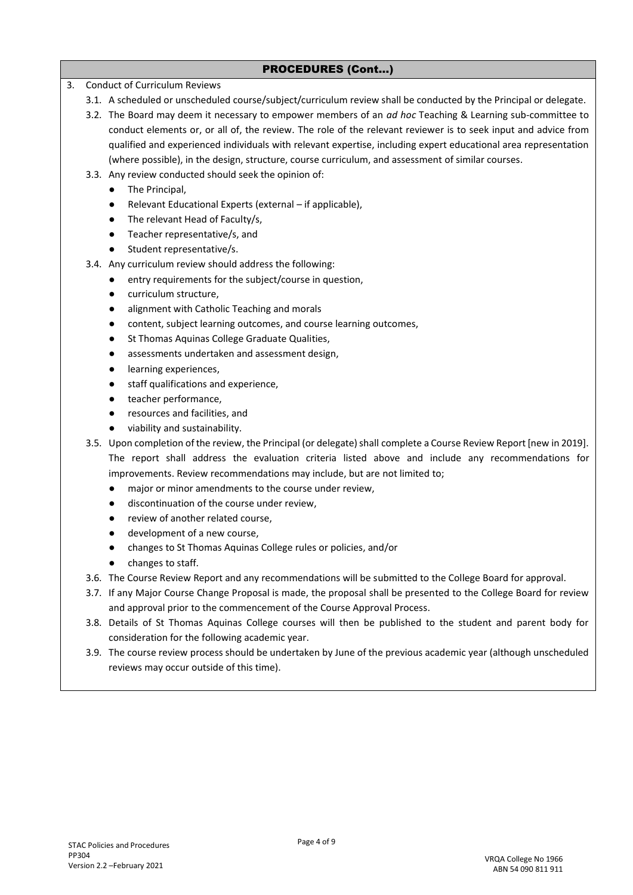## PROCEDURES (Cont…)

- 3. Conduct of Curriculum Reviews
	- 3.1. A scheduled or unscheduled course/subject/curriculum review shall be conducted by the Principal or delegate.
	- 3.2. The Board may deem it necessary to empower members of an *ad hoc* Teaching & Learning sub-committee to conduct elements or, or all of, the review. The role of the relevant reviewer is to seek input and advice from qualified and experienced individuals with relevant expertise, including expert educational area representation (where possible), in the design, structure, course curriculum, and assessment of similar courses.
	- 3.3. Any review conducted should seek the opinion of:
		- The Principal,
		- Relevant Educational Experts (external if applicable),
		- The relevant Head of Faculty/s,
		- Teacher representative/s, and
		- Student representative/s.
	- 3.4. Any curriculum review should address the following:
		- entry requirements for the subject/course in question,
		- curriculum structure,
		- alignment with Catholic Teaching and morals
		- content, subject learning outcomes, and course learning outcomes,
		- St Thomas Aquinas College Graduate Qualities,
		- assessments undertaken and assessment design,
		- learning experiences,
		- staff qualifications and experience,
		- teacher performance,
		- resources and facilities, and
		- viability and sustainability.
	- 3.5. Upon completion of the review, the Principal (or delegate) shall complete a Course Review Report [new in 2019]. The report shall address the evaluation criteria listed above and include any recommendations for improvements. Review recommendations may include, but are not limited to;
		- major or minor amendments to the course under review,
		- discontinuation of the course under review,
		- review of another related course.
		- development of a new course,
		- changes to St Thomas Aquinas College rules or policies, and/or
		- changes to staff.
	- 3.6. The Course Review Report and any recommendations will be submitted to the College Board for approval.
	- 3.7. If any Major Course Change Proposal is made, the proposal shall be presented to the College Board for review and approval prior to the commencement of the Course Approval Process.
	- 3.8. Details of St Thomas Aquinas College courses will then be published to the student and parent body for consideration for the following academic year.
	- 3.9. The course review process should be undertaken by June of the previous academic year (although unscheduled reviews may occur outside of this time).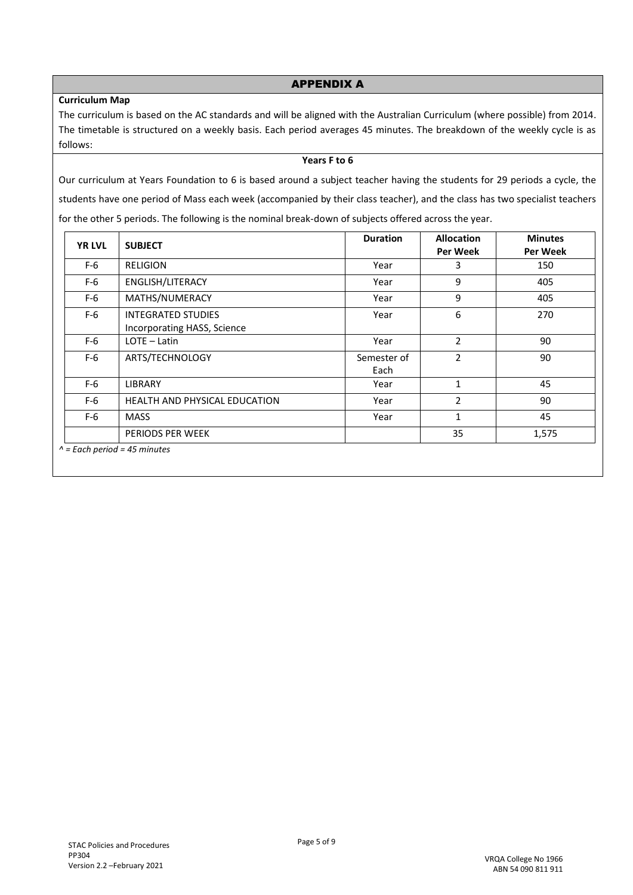# **Curriculum Map**

#### APPENDIX A

The curriculum is based on the AC standards and will be aligned with the Australian Curriculum (where possible) from 2014. The timetable is structured on a weekly basis. Each period averages 45 minutes. The breakdown of the weekly cycle is as follows:

#### **Years F to 6**

Our curriculum at Years Foundation to 6 is based around a subject teacher having the students for 29 periods a cycle, the students have one period of Mass each week (accompanied by their class teacher), and the class has two specialist teachers for the other 5 periods. The following is the nominal break-down of subjects offered across the year.

| <b>YR LVL</b> | <b>SUBJECT</b>                                           | <b>Duration</b>     | <b>Allocation</b><br>Per Week | <b>Minutes</b><br>Per Week |
|---------------|----------------------------------------------------------|---------------------|-------------------------------|----------------------------|
| $F-6$         | <b>RELIGION</b>                                          | Year                | 3                             | 150                        |
| $F-6$         | ENGLISH/LITERACY                                         | Year                | 9                             | 405                        |
| $F-6$         | MATHS/NUMERACY                                           | Year                | 9                             | 405                        |
| $F-6$         | <b>INTEGRATED STUDIES</b><br>Incorporating HASS, Science | Year                | 6                             | 270                        |
| $F-6$         | $LOTE - Latin$                                           | Year                | 2                             | 90                         |
| $F-6$         | ARTS/TECHNOLOGY                                          | Semester of<br>Each | $\overline{2}$                | 90                         |
| $F-6$         | <b>LIBRARY</b>                                           | Year                | $\mathbf{1}$                  | 45                         |
| $F-6$         | <b>HEALTH AND PHYSICAL EDUCATION</b>                     | Year                | $\overline{2}$                | 90                         |
| $F-6$         | <b>MASS</b>                                              | Year                | $\mathbf{1}$                  | 45                         |
|               | PERIODS PER WEEK                                         |                     | 35                            | 1,575                      |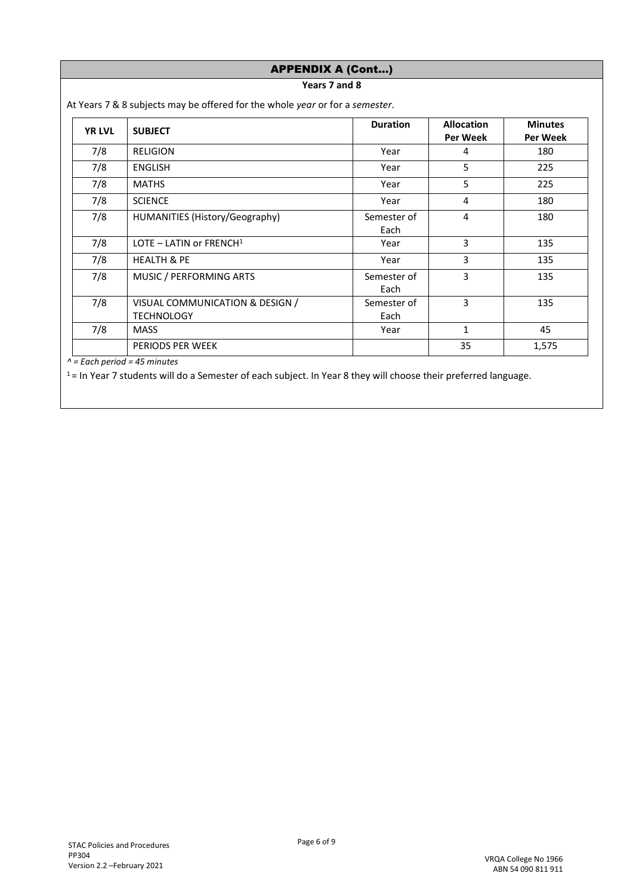|               | <b>APPENDIX A (Cont)</b>                                                     |                     |                               |                            |
|---------------|------------------------------------------------------------------------------|---------------------|-------------------------------|----------------------------|
|               | Years 7 and 8                                                                |                     |                               |                            |
|               | At Years 7 & 8 subjects may be offered for the whole year or for a semester. |                     |                               |                            |
| <b>YR LVL</b> | <b>SUBJECT</b>                                                               | <b>Duration</b>     | <b>Allocation</b><br>Per Week | <b>Minutes</b><br>Per Week |
| 7/8           | <b>RELIGION</b>                                                              | Year                | 4                             | 180                        |
| 7/8           | <b>ENGLISH</b>                                                               | Year                | 5                             | 225                        |
| 7/8           | <b>MATHS</b>                                                                 | Year                | 5                             | 225                        |
| 7/8           | <b>SCIENCE</b>                                                               | Year                | 4                             | 180                        |
| 7/8           | HUMANITIES (History/Geography)                                               | Semester of<br>Each | 4                             | 180                        |
| 7/8           | LOTE – LATIN or FRENCH $1$                                                   | Year                | 3                             | 135                        |
| 7/8           | <b>HEALTH &amp; PE</b>                                                       | Year                | 3                             | 135                        |
| 7/8           | MUSIC / PERFORMING ARTS                                                      | Semester of<br>Each | 3                             | 135                        |
| 7/8           | VISUAL COMMUNICATION & DESIGN /<br><b>TECHNOLOGY</b>                         | Semester of<br>Each | 3                             | 135                        |
| 7/8           | <b>MASS</b>                                                                  | Year                | 1                             | 45                         |
|               | PERIODS PER WEEK                                                             |                     | 35                            | 1,575                      |

*^ = Each period = 45 minutes*

 $1$  = In Year 7 students will do a Semester of each subject. In Year 8 they will choose their preferred language.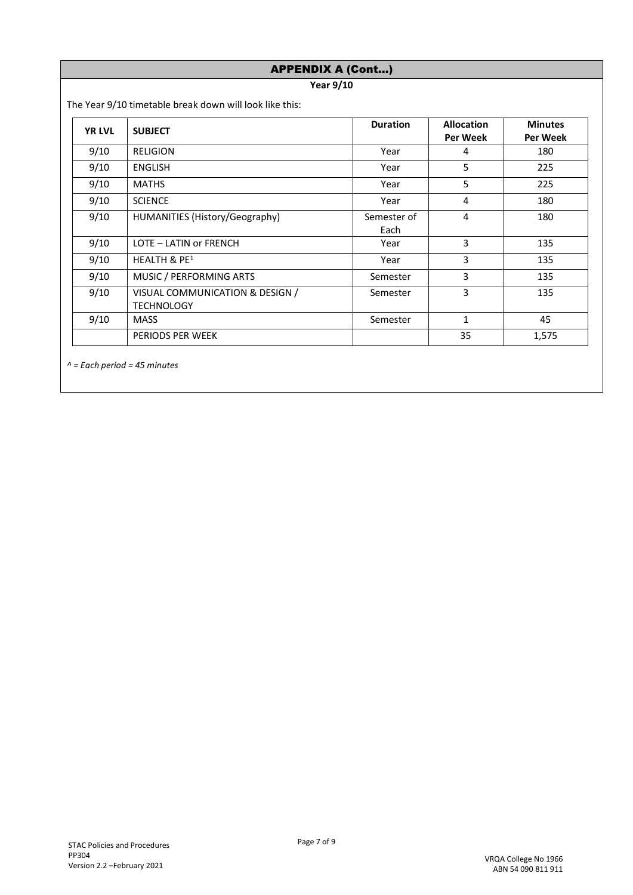|               | <b>APPENDIX A (Cont)</b>                                |                     |                               |                            |
|---------------|---------------------------------------------------------|---------------------|-------------------------------|----------------------------|
|               | <b>Year 9/10</b>                                        |                     |                               |                            |
|               | The Year 9/10 timetable break down will look like this: |                     |                               |                            |
| <b>YR LVL</b> | <b>SUBJECT</b>                                          | <b>Duration</b>     | <b>Allocation</b><br>Per Week | <b>Minutes</b><br>Per Week |
| 9/10          | <b>RELIGION</b>                                         | Year                | 4                             | 180                        |
| 9/10          | <b>ENGLISH</b>                                          | Year                | 5                             | 225                        |
| 9/10          | <b>MATHS</b>                                            | Year                | 5                             | 225                        |
| 9/10          | <b>SCIENCE</b>                                          | Year                | 4                             | 180                        |
| 9/10          | HUMANITIES (History/Geography)                          | Semester of<br>Each | 4                             | 180                        |
| 9/10          | LOTE - LATIN or FRENCH                                  | Year                | 3                             | 135                        |
| 9/10          | HEALTH & PE <sup>1</sup>                                | Year                | 3                             | 135                        |
| 9/10          | MUSIC / PERFORMING ARTS                                 | Semester            | 3                             | 135                        |
| 9/10          | VISUAL COMMUNICATION & DESIGN /<br><b>TECHNOLOGY</b>    | Semester            | 3                             | 135                        |
| 9/10          | <b>MASS</b>                                             | Semester            | 1                             | 45                         |
|               | PERIODS PER WEEK                                        |                     | 35                            | 1,575                      |

*^ = Each period = 45 minutes*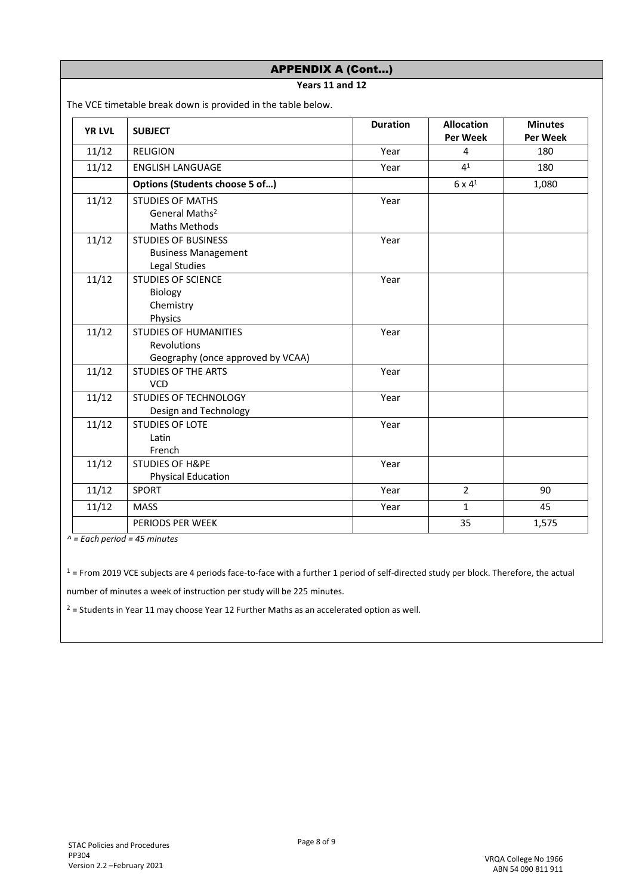| <b>APPENDIX A (Cont)</b> |                                                                                  |                 |                               |                            |
|--------------------------|----------------------------------------------------------------------------------|-----------------|-------------------------------|----------------------------|
|                          | Years 11 and 12                                                                  |                 |                               |                            |
|                          | The VCE timetable break down is provided in the table below.                     |                 |                               |                            |
| <b>YR LVL</b>            | <b>SUBJECT</b>                                                                   | <b>Duration</b> | <b>Allocation</b><br>Per Week | <b>Minutes</b><br>Per Week |
| 11/12                    | <b>RELIGION</b>                                                                  | Year            | 4                             | 180                        |
| 11/12                    | <b>ENGLISH LANGUAGE</b>                                                          | Year            | 4 <sup>1</sup>                | 180                        |
|                          | Options (Students choose 5 of)                                                   |                 | $6 \times 4^1$                | 1,080                      |
| 11/12                    | <b>STUDIES OF MATHS</b><br>General Maths <sup>2</sup><br><b>Maths Methods</b>    | Year            |                               |                            |
| 11/12                    | <b>STUDIES OF BUSINESS</b><br><b>Business Management</b><br>Legal Studies        | Year            |                               |                            |
| 11/12                    | <b>STUDIES OF SCIENCE</b><br>Biology<br>Chemistry<br>Physics                     | Year            |                               |                            |
| 11/12                    | <b>STUDIES OF HUMANITIES</b><br>Revolutions<br>Geography (once approved by VCAA) | Year            |                               |                            |
| 11/12                    | <b>STUDIES OF THE ARTS</b><br><b>VCD</b>                                         | Year            |                               |                            |
| 11/12                    | <b>STUDIES OF TECHNOLOGY</b><br>Design and Technology                            | Year            |                               |                            |
| 11/12                    | <b>STUDIES OF LOTE</b><br>Latin<br>French                                        | Year            |                               |                            |
| 11/12                    | <b>STUDIES OF H&amp;PE</b><br><b>Physical Education</b>                          | Year            |                               |                            |
| 11/12                    | SPORT                                                                            | Year            | $\overline{2}$                | 90                         |
| 11/12                    | <b>MASS</b>                                                                      | Year            | $\mathbf{1}$                  | 45                         |
|                          | PERIODS PER WEEK                                                                 |                 | 35                            | 1,575                      |

*^ = Each period = 45 minutes*

 $1$  = From 2019 VCE subjects are 4 periods face-to-face with a further 1 period of self-directed study per block. Therefore, the actual

number of minutes a week of instruction per study will be 225 minutes.

 $2$  = Students in Year 11 may choose Year 12 Further Maths as an accelerated option as well.